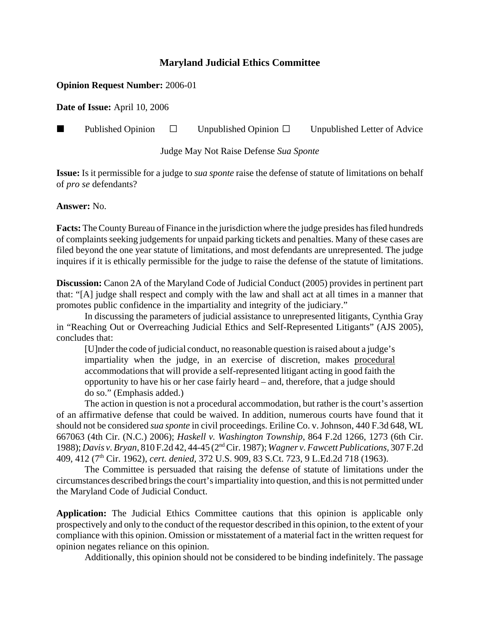## **Maryland Judicial Ethics Committee**

## **Opinion Request Number:** 2006-01

**Date of Issue:** April 10, 2006

**Published Opinion**  $\Box$  Unpublished Opinion  $\Box$  Unpublished Letter of Advice

Judge May Not Raise Defense *Sua Sponte*

**Issue:** Is it permissible for a judge to *sua sponte* raise the defense of statute of limitations on behalf of *pro se* defendants?

## **Answer:** No.

**Facts:** The County Bureau of Finance in the jurisdiction where the judge presides has filed hundreds of complaints seeking judgements for unpaid parking tickets and penalties. Many of these cases are filed beyond the one year statute of limitations, and most defendants are unrepresented. The judge inquires if it is ethically permissible for the judge to raise the defense of the statute of limitations.

**Discussion:** Canon 2A of the Maryland Code of Judicial Conduct (2005) provides in pertinent part that: "[A] judge shall respect and comply with the law and shall act at all times in a manner that promotes public confidence in the impartiality and integrity of the judiciary."

In discussing the parameters of judicial assistance to unrepresented litigants, Cynthia Gray in "Reaching Out or Overreaching Judicial Ethics and Self-Represented Litigants" (AJS 2005), concludes that:

[U]nder the code of judicial conduct, no reasonable question is raised about a judge's impartiality when the judge, in an exercise of discretion, makes procedural accommodations that will provide a self-represented litigant acting in good faith the opportunity to have his or her case fairly heard – and, therefore, that a judge should do so." (Emphasis added.)

The action in question is not a procedural accommodation, but rather is the court's assertion of an affirmative defense that could be waived. In addition, numerous courts have found that it should not be considered *sua sponte* in civil proceedings. Eriline Co. v. Johnson, 440 F.3d 648, WL 667063 (4th Cir. (N.C.) 2006); *Haskell v. Washington Township*, 864 F.2d 1266, 1273 (6th Cir. 1988); *Davis v. Bryan*, 810 F.2d 42, 44-45 (2nd Cir. 1987); *Wagner v. Fawcett Publications,* 307 F.2d 409, 412 (7th Cir. 1962), *cert. denied,* 372 U.S. 909, 83 S.Ct. 723, 9 L.Ed.2d 718 (1963).

The Committee is persuaded that raising the defense of statute of limitations under the circumstances described brings the court's impartiality into question, and this is not permitted under the Maryland Code of Judicial Conduct.

**Application:** The Judicial Ethics Committee cautions that this opinion is applicable only prospectively and only to the conduct of the requestor described in this opinion, to the extent of your compliance with this opinion. Omission or misstatement of a material fact in the written request for opinion negates reliance on this opinion.

Additionally, this opinion should not be considered to be binding indefinitely. The passage